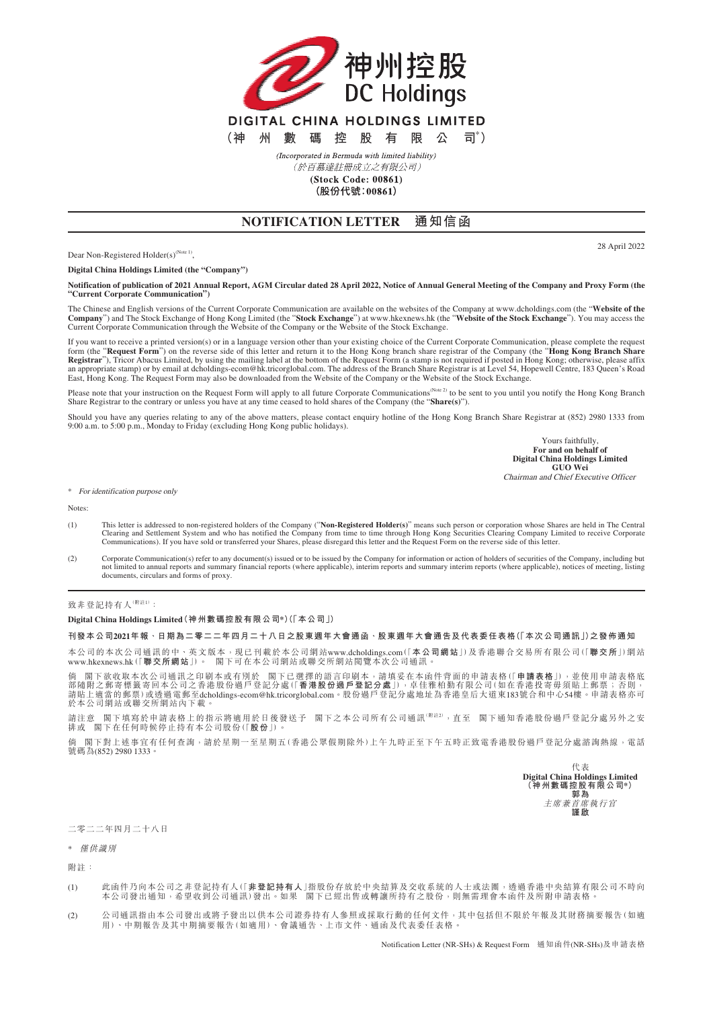

(Incorporated in Bermuda with limited liability) (於百慕達註冊成立之有限公司)

(Stock Code: 00861)

(股份代號:00861)

## **NOTIFICATION LETTER 通知信函**

28 April 2022

Dear Non-Registered Holder(s)<sup>(Note 1)</sup>,

**Digital China Holdings Limited (the "Company")**

**Notification of publication of 2021 Annual Report, AGM Circular dated 28 April 2022, Notice of Annual General Meeting of the Company and Proxy Form (the "Current Corporate Communication")**

The Chinese and English versions of the Current Corporate Communication are available on the websites of the Company at www.dcholdings.com (the "**Website of the**  Company") and The Stock Exchange of Hong Kong Limited (the "Stock Exchange") at www.hkexnews.hk (the "Website of the Stock Exchange"). You may access the<br>Current Corporate Communication through the Website of the Company o

If you want to receive a printed version(s) or in a language version other than your existing choice of the Current Corporate Communication, please complete the request<br>form (the "**Request Form**") on the reverse side of th an appropriate stamp) or by email at dcholdings-ecom@hk.tricorglobal.com. The address of the Branch Share Registrar is at Level 54, Hopewell Centre, 183 Queen's Road<br>East, Hong Kong. The Request Form may also be downloaded

Please note that your instruction on the Request Form will apply to all future Corporate Communications<sup>(Note 2)</sup> to be sent to you until you notify the Hong Kong Branch Share Registrar to the contrary or unless you have at any time ceased to hold shares of the Company (the "**Share(s)**").

Should you have any queries relating to any of the above matters, please contact enquiry hotline of the Hong Kong Branch Share Registrar at (852) 2980 1333 from 9:00 a.m. to 5:00 p.m., Monday to Friday (excluding Hong Kong public holidays).

> Yours faithfully, **For and on behalf of Digital China Holdings Limited GUO Wei** Chairman and Chief Executive Officer

\* For identification purpose only

**Notes** 

- (1) This letter is addressed to non-registered holders of the Company ("**Non-Registered Holder(s)**" means such person or corporation whose Shares are held in The Central Clearing and Settlement System and who has notified the Company from time to time through Hong Kong Securities Clearing Company Limited to receive Corporate<br>Communications). If you have sold or transferred your Shares, ple
- (2) Corporate Communication(s) refer to any document(s) issued or to be issued by the Company for information or action of holders of securities of the Company, including but not limited to annual reports and summary financial reports (where applicable), interim reports and summary interim reports (where applicable), notices of meeting, listing documents, circulars and forms of proxy.

致非登記持有人(<sup>附註1)</sup>:

**Digital China Holdings Limited(神州數碼控股有限公司\*)(「本公司」)**

## **刊發本公司2021年報、日期為二零二二年四月二十八日之股東週年大會通函、股東週年大會通告及代表委任表格(「本次公司通訊」)之發佈通知**

本公司的本次公司通訊的中、英文版本,現已刊載於本公司網站 www.dcholdings.com (「**本公司網站**」)及香港聯合交易所有限公司(「**聯交所**」)網站 www.hkexnews.hk(「**聯交所網站**」)。 閣下可在本公司網站或聯交所網站閱覽本次公司通訊。

倘 閣下欲收取本次公司通訊之印刷本或有別於 閣下已選擇的語言印刷本,請填妥在本函件背面的申請表格(「**申請表格**」),並使用申請表格底<br>部隨附之郵寄標籤寄回本公司之香港股份過戶登記分處(「**香港股份過戶登記分處**」),卓佳雅柏勤有限公司(如在香港投寄毋須貼上郵票;否則,<br>請貼上適當的郵票)或透過電郵至dcholdings-ecom@hk.tricorglobal.com。股份過戶登記分處地址為香港皇后大道東183號合和中心54樓。申請表格 於本公司網站或聯交所網站內下載

請注意 閣下填寫於申請表格上的指示將適用於日後發送予 閣下之本公司所有公司通訊<sup>(附註2)</sup>,直至 閣下通知香港股份過戶登記分處另外之安<br>排或 閣下在任何時候停止持有本公司股份(「**股份**」)。

倘 閣下對上述事宜有任何查詢,請於星期一至星期五(香港公眾假期除外)上午九時正至下午五時正致電香港股份過戶登記分處諮詢熱線,電話 號碼為(852) 2980 1333。

> 代表 **Digital China Holdings Limited (神州數碼控股有限公司\*) 郭為** 主席兼首席執行官 **謹啟**

二零二二年四月二十八日

\* 僅供識別

附註:

- (1) 此函件乃向本公司之非登記持有人(「**非登記持有人**」指股份存放於中央結算及交收系統的人士或法國,透過香港中央結算有限公司不時向<br> 本公司發出通知,希望收到公司通訊)發出。如果 閣下已經出售或轉讓所持有之股份,則無需理會本函件及所附申請表格。
- (2) 公司通訊指由本公司發出或將予發出以供本公司證券持有人參照或採取行動的任何文件,其中包括但不限於年報及其財務摘要報告(如適 用)、中期報告及其中期摘要報告(如適用)、會議通告、上市文件、通函及代表委任表格。